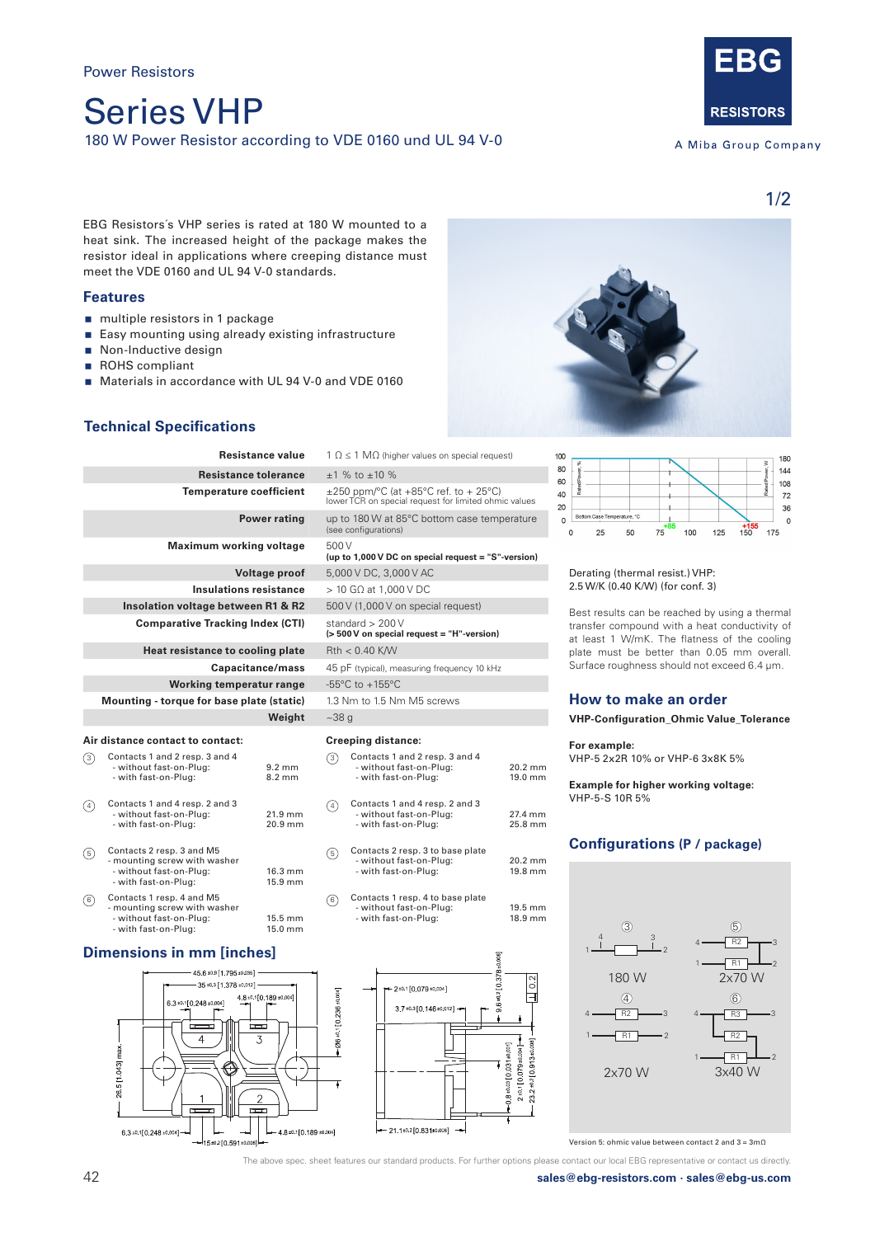Series VHP 180 W Power Resistor according to VDE 0160 und UL 94 V-0



A Miba Group Company

1/2

EBG Resistors´s VHP series is rated at 180 W mounted to a heat sink. The increased height of the package makes the resistor ideal in applications where creeping distance must meet the VDE 0160 and UL 94 V-0 standards.

## **Features**

- multiple resistors in 1 package
- Easy mounting using already existing infrastructure
- Non-Inductive design
- ROHS compliant
- Materials in accordance with UL 94 V-0 and VDE 0160

# **Technical Specifications**

| <b>Resistance value</b>            |                                                                                                              |                                      | $1 \Omega \leq 1 \text{ M}\Omega$ (higher values on special |                                                                                    |  |
|------------------------------------|--------------------------------------------------------------------------------------------------------------|--------------------------------------|-------------------------------------------------------------|------------------------------------------------------------------------------------|--|
| <b>Resistance tolerance</b>        |                                                                                                              |                                      |                                                             | $±1$ % to $±10$ %                                                                  |  |
|                                    | <b>Temperature coefficient</b>                                                                               |                                      |                                                             | $\pm 250$ ppm/°C (at +85°C ref. to + 2<br>lower TCR on special request for limited |  |
|                                    | <b>Power rating</b>                                                                                          |                                      |                                                             | up to 180 W at 85°C bottom case<br>(see configurations)                            |  |
|                                    | <b>Maximum working voltage</b>                                                                               |                                      | 500 V<br>(up to 1,000 V DC on special request :             |                                                                                    |  |
| Voltage proof                      |                                                                                                              |                                      | 5,000 V DC, 3,000 V AC                                      |                                                                                    |  |
| Insulations resistance             |                                                                                                              |                                      |                                                             | $>$ 10 G $\Omega$ at 1,000 V DC                                                    |  |
| Insolation voltage between R1 & R2 |                                                                                                              |                                      |                                                             | 500 V (1,000 V on special request)                                                 |  |
|                                    | <b>Comparative Tracking Index (CTI)</b>                                                                      |                                      |                                                             | standard $> 200$ V<br>(> 500 V on special request = "H"-vers                       |  |
| Heat resistance to cooling plate   |                                                                                                              |                                      | $Rth < 0.40$ K/W                                            |                                                                                    |  |
| Capacitance/mass                   |                                                                                                              |                                      | 45 pF (typical), measuring frequency 1                      |                                                                                    |  |
|                                    | <b>Working temperatur range</b>                                                                              |                                      |                                                             | -55 $\mathrm{^{\circ}C}$ to +155 $\mathrm{^{\circ}C}$                              |  |
|                                    | Mounting - torque for base plate (static)                                                                    |                                      | 1.3 Nm to 1.5 Nm M5 screws                                  |                                                                                    |  |
|                                    | Weight                                                                                                       |                                      | ~100                                                        |                                                                                    |  |
| Air distance contact to contact:   |                                                                                                              | <b>Creeping distance:</b>            |                                                             |                                                                                    |  |
| ③                                  | Contacts 1 and 2 resp. 3 and 4<br>- without fast-on-Plug:<br>- with fast-on-Plug:                            | $9.2 \text{ mm}$<br>$8.2 \text{ mm}$ | (3)                                                         | Contacts 1 and 2 resp. 3 and 4<br>- without fast-on-Plug:<br>- with fast-on-Plug:  |  |
| $\left(4\right)$                   | Contacts 1 and 4 resp. 2 and 3<br>- without fast-on-Plug:<br>- with fast-on-Plug:                            | 21.9 mm<br>20.9 mm                   | (4)                                                         | Contacts 1 and 4 resp. 2 and 3<br>- without fast-on-Plug:<br>- with fast-on-Plug:  |  |
| ⑤                                  | Contacts 2 resp. 3 and M5<br>- mounting screw with washer<br>- without fast-on-Plug:<br>- with fast-on-Plug: | 16.3 mm<br>15.9 mm                   | (5)                                                         | Contacts 2 resp. 3 to base plat<br>- without fast-on-Plug:<br>- with fast-on-Plug: |  |
| (6)                                | Contacts 1 resp. 4 and M5<br>- mounting screw with washer<br>- without fast-on-Plug:<br>- with fast-on-Plug: | 15.5 mm<br>15.0 mm                   | (6)                                                         | Contacts 1 resp. 4 to base plat<br>- without fast-on-Plug:<br>- with fast-on-Plug: |  |

## **Dimensions in mm [inches]**



| $1 \Omega \le 1 \text{ M}\Omega$ (higher values on special request)                                 | 10 |  |
|-----------------------------------------------------------------------------------------------------|----|--|
| $+1$ % to $+10$ %                                                                                   | ε  |  |
| $\pm 250$ ppm/°C (at +85°C ref. to + 25°C)<br>lower TCR on special request for limited ohmic values |    |  |
| up to 180 W at 85°C bottom case temperature<br>(see configurations)                                 | ź  |  |
| 500 V<br>(up to 1,000 V DC on special request = "S"-version)                                        |    |  |
| 5,000 V DC, 3,000 V AC                                                                              |    |  |
| $>$ 10 G $\Omega$ at 1,000 V DC                                                                     |    |  |
| 500 V (1,000 V on special request)                                                                  |    |  |
| standard $> 200$ V<br>(> 500 V on special request = "H"-version)                                    |    |  |
| $Rth < 0.40$ K/W                                                                                    |    |  |
| 45 pF (typical), measuring frequency 10 kHz                                                         |    |  |
| -55 $\degree$ C to +155 $\degree$ C                                                                 |    |  |
| 1.3 Nm to 1.5 Nm M5 screws                                                                          |    |  |
| ~28q                                                                                                |    |  |
|                                                                                                     |    |  |

#### **Creeping distance:**

|   | Contacts 1 and 2 resp. 3 and 4<br>- without fast-on-Plug:<br>- with fast-on-Plug:   | $20.2$ mm<br>$19.0 \text{ mm}$ |
|---|-------------------------------------------------------------------------------------|--------------------------------|
|   | Contacts 1 and 4 resp. 2 and 3<br>- without fast-on-Plug:<br>- with fast-on-Plug:   | 27.4 mm<br>25.8 mm             |
| 5 | Contacts 2 resp. 3 to base plate<br>- without fast-on-Plug:<br>- with fast-on-Plug: | $20.2$ mm<br>$19.8 \text{ mm}$ |

Contacts 1 resp. 4 to base plate - without fast-on-Plug: 19.5 mm - with fast-on-Plug: 18.9 mm







Derating (thermal resist.) VHP: 2.5 W/K (0.40 K/W) (for conf. 3)

Best results can be reached by using a thermal transfer compound with a heat conductivity of at least 1 W/mK. The flatness of the cooling plate must be better than 0.05 mm overall. Surface roughness should not exceed 6.4 μm.

## **How to make an order**

**VHP-Configuration\_Ohmic Value\_Tolerance**

#### **For example:**

VHP-5 2x2R 10% or VHP-6 3x8K 5%

**Example for higher working voltage:** VHP-5-S 10R 5%

# **Configurations (P / package)**



Version 5: ohmic value between contact 2 and 3 = 3mΩ

The above spec. sheet features our standard products. For further options please contact our local EBG representative or contact us directly.